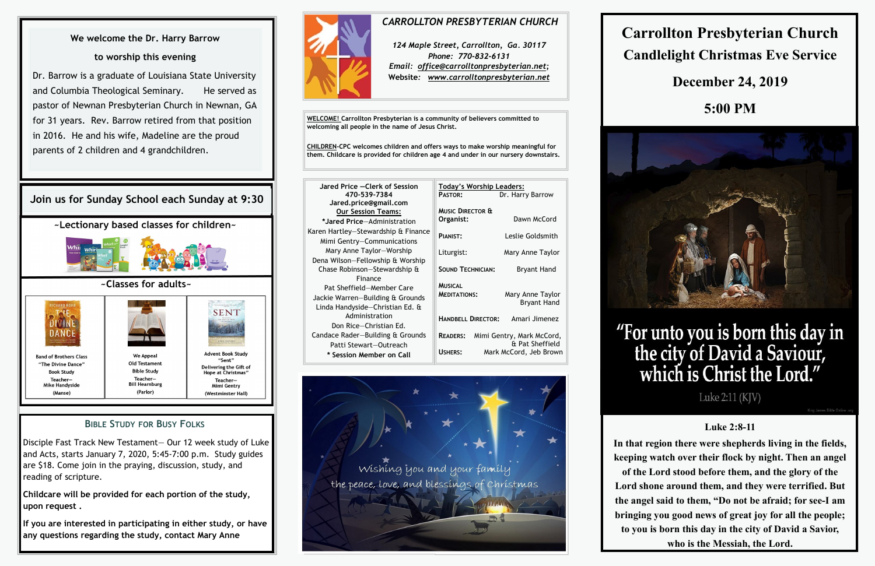**WELCOME! Carrollton Presbyterian is a community of believers committed to welcoming all people in the name of Jesus Christ.**

**CHILDREN-CPC welcomes children and offers ways to make worship meaningful for them. Childcare is provided for children age 4 and under in our nursery downstairs.** 

| Jared Price - Clerk of Session                                                                              | <b>Today's Worship Leaders:</b>       |                                                                        |  |
|-------------------------------------------------------------------------------------------------------------|---------------------------------------|------------------------------------------------------------------------|--|
| 470-539-7384<br>Jared.price@gmail.com                                                                       | <b>PASTOR:</b>                        | Dr. Harry Barrow                                                       |  |
| <b>Our Session Teams:</b>                                                                                   | <b>MUSIC DIRECTOR &amp;</b>           |                                                                        |  |
| *Jared Price-Administration                                                                                 | Organist:                             | Dawn McCord                                                            |  |
| Karen Hartley-Stewardship & Finance<br>Mimi Gentry-Communications                                           | PIANIST:                              | Leslie Goldsmith                                                       |  |
| Mary Anne Taylor-Worship                                                                                    | Liturgist:                            | Mary Anne Taylor                                                       |  |
| Dena Wilson-Fellowship & Worship<br>Chase Robinson-Stewardship &                                            | <b>SOUND TECHNICIAN:</b>              | <b>Bryant Hand</b>                                                     |  |
| Finance<br>Pat Sheffield-Member Care<br>Jackie Warren-Building & Grounds<br>Linda Handyside-Christian Ed. & | <b>MUSICAL</b><br><b>MEDITATIONS:</b> | Mary Anne Taylor<br><b>Bryant Hand</b>                                 |  |
| Administration<br>Don Rice-Christian Ed.                                                                    | <b>HANDBELL DIRECTOR:</b>             | Amari Jimenez                                                          |  |
| Candace Rader-Building & Grounds<br>Patti Stewart-Outreach<br>* Session Member on Call                      | <b>READERS:</b><br>USHERS:            | Mimi Gentry, Mark McCord,<br>& Pat Sheffield<br>Mark McCord, Jeb Brown |  |
|                                                                                                             |                                       |                                                                        |  |



# **Carrollton Presbyterian Church Candlelight Christmas Eve Service**



# "For unto you is born this day in<br>the city of David a Saviour,<br>which is Christ the Lord."

# **December 24, 2019**

# **5:00 PM**



Luke 2:11 (KJV)

## **Luke 2:8-11**

**In that region there were shepherds living in the fields, keeping watch over their flock by night. Then an angel of the Lord stood before them, and the glory of the Lord shone around them, and they were terrified. But the angel said to them, "Do not be afraid; for see-I am bringing you good news of great joy for all the people; to you is born this day in the city of David a Savior, who is the Messiah, the Lord.**

#### *CARROLLTON PRESBYTERIAN CHURCH*

*124 Maple Street, Carrollton, Ga. 30117 Phone: 770-832-6131 Email: office@carrolltonpresbyterian.net;* **Website***: www.carrolltonpresbyterian.net*

#### **BIBLE STUDY FOR BUSY FOLKS**

Disciple Fast Track New Testament— Our 12 week study of Luke and Acts, starts January 7, 2020, 5:45-7:00 p.m. Study guides are \$18. Come join in the praying, discussion, study, and reading of scripture.

**Childcare will be provided for each portion of the study, upon request .**

**If you are interested in participating in either study, or have any questions regarding the study, contact Mary Anne** 



# **Join us for Sunday School each Sunday at 9:30**

~Lectionary based classes for children~



#### ~Classes for adults~



# **We welcome the Dr. Harry Barrow**

#### **to worship this evening**

Dr. Barrow is a graduate of Louisiana State University and Columbia Theological Seminary. He served as pastor of Newnan Presbyterian Church in Newnan, GA for 31 years. Rev. Barrow retired from that position in 2016. He and his wife, Madeline are the proud parents of 2 children and 4 grandchildren.